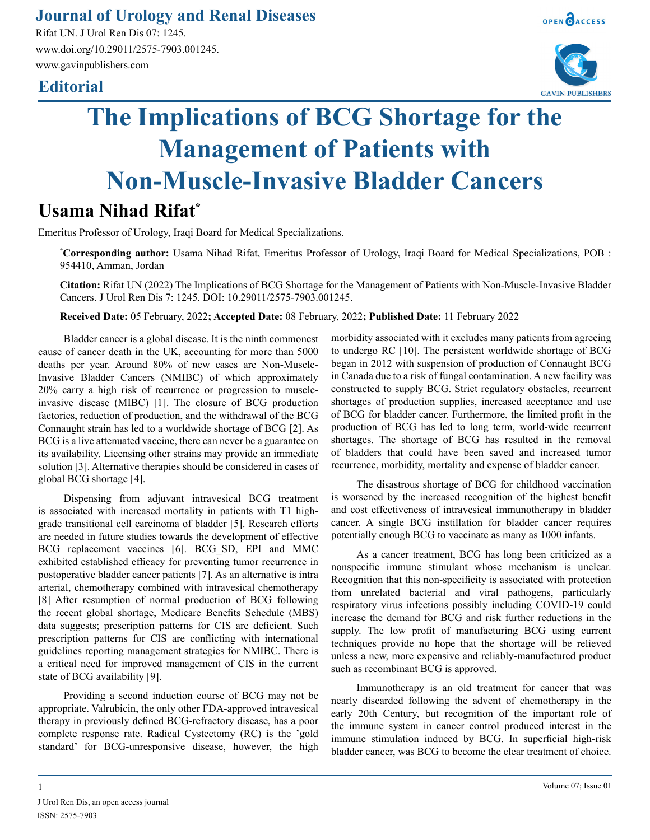### **Journal of Urology and Renal Diseases**

Rifat UN. J Urol Ren Dis 07: 1245. www.doi.org/10.29011/2575-7903.001245. www.gavinpublishers.com

## **Editorial**





# **The Implications of BCG Shortage for the Management of Patients with Non-Muscle-Invasive Bladder Cancers**

# **Usama Nihad Rifat\***

Emeritus Professor of Urology, Iraqi Board for Medical Specializations.

**\* Corresponding author:** Usama Nihad Rifat, Emeritus Professor of Urology, Iraqi Board for Medical Specializations, POB : 954410, Amman, Jordan

**Citation:** Rifat UN (2022) The Implications of BCG Shortage for the Management of Patients with Non-Muscle-Invasive Bladder Cancers. J Urol Ren Dis 7: 1245. DOI: 10.29011/2575-7903.001245.

**Received Date:** 05 February, 2022**; Accepted Date:** 08 February, 2022**; Published Date:** 11 February 2022

Bladder cancer is a global disease. It is the ninth commonest cause of cancer death in the UK, accounting for more than 5000 deaths per year. Around 80% of new cases are Non-Muscle-Invasive Bladder Cancers (NMIBC) of which approximately 20% carry a high risk of recurrence or progression to muscleinvasive disease (MIBC) [1]. The closure of BCG production factories, reduction of production, and the withdrawal of the BCG Connaught strain has led to a worldwide shortage of BCG [2]. As BCG is a live attenuated vaccine, there can never be a guarantee on its availability. Licensing other strains may provide an immediate solution [3]. Alternative therapies should be considered in cases of global BCG shortage [4].

Dispensing from adjuvant intravesical BCG treatment is associated with increased mortality in patients with T1 highgrade transitional cell carcinoma of bladder [5]. Research efforts are needed in future studies towards the development of effective BCG replacement vaccines [6]. BCG\_SD, EPI and MMC exhibited established efficacy for preventing tumor recurrence in postoperative bladder cancer patients [7]. As an alternative is intra arterial, chemotherapy combined with intravesical chemotherapy [8] After resumption of normal production of BCG following the recent global shortage, Medicare Benefits Schedule (MBS) data suggests; prescription patterns for CIS are deficient. Such prescription patterns for CIS are conflicting with international guidelines reporting management strategies for NMIBC. There is a critical need for improved management of CIS in the current state of BCG availability [9].

Providing a second induction course of BCG may not be appropriate. Valrubicin, the only other FDA-approved intravesical therapy in previously defined BCG-refractory disease, has a poor complete response rate. Radical Cystectomy (RC) is the 'gold standard' for BCG-unresponsive disease, however, the high

morbidity associated with it excludes many patients from agreeing to undergo RC [10]. The persistent worldwide shortage of BCG began in 2012 with suspension of production of Connaught BCG in Canada due to a risk of fungal contamination. A new facility was constructed to supply BCG. Strict regulatory obstacles, recurrent shortages of production supplies, increased acceptance and use of BCG for bladder cancer. Furthermore, the limited profit in the production of BCG has led to long term, world-wide recurrent shortages. The shortage of BCG has resulted in the removal of bladders that could have been saved and increased tumor recurrence, morbidity, mortality and expense of bladder cancer.

The disastrous shortage of BCG for childhood vaccination is worsened by the increased recognition of the highest benefit and cost effectiveness of intravesical immunotherapy in bladder cancer. A single BCG instillation for bladder cancer requires potentially enough BCG to vaccinate as many as 1000 infants.

As a cancer treatment, BCG has long been criticized as a nonspecific immune stimulant whose mechanism is unclear. Recognition that this non-specificity is associated with protection from unrelated bacterial and viral pathogens, particularly respiratory virus infections possibly including COVID-19 could increase the demand for BCG and risk further reductions in the supply. The low profit of manufacturing BCG using current techniques provide no hope that the shortage will be relieved unless a new, more expensive and reliably-manufactured product such as recombinant BCG is approved.

Immunotherapy is an old treatment for cancer that was nearly discarded following the advent of chemotherapy in the early 20th Century, but recognition of the important role of the immune system in cancer control produced interest in the immune stimulation induced by BCG. In superficial high-risk bladder cancer, was BCG to become the clear treatment of choice.